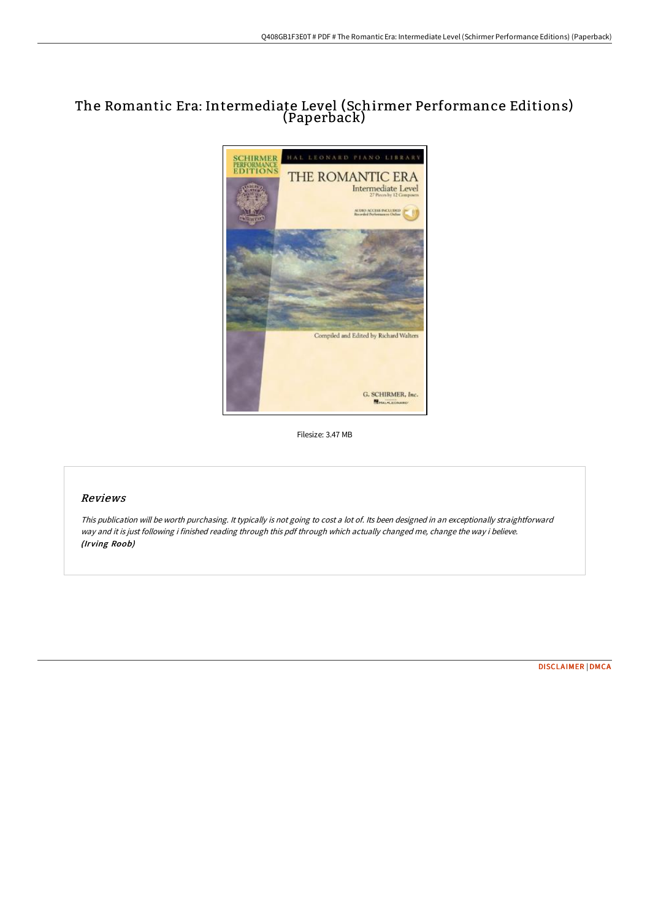## The Romantic Era: Intermediate Level (Schirmer Performance Editions) (Paperback)



Filesize: 3.47 MB

### Reviews

This publication will be worth purchasing. It typically is not going to cost <sup>a</sup> lot of. Its been designed in an exceptionally straightforward way and it is just following i finished reading through this pdf through which actually changed me, change the way i believe. (Irving Roob)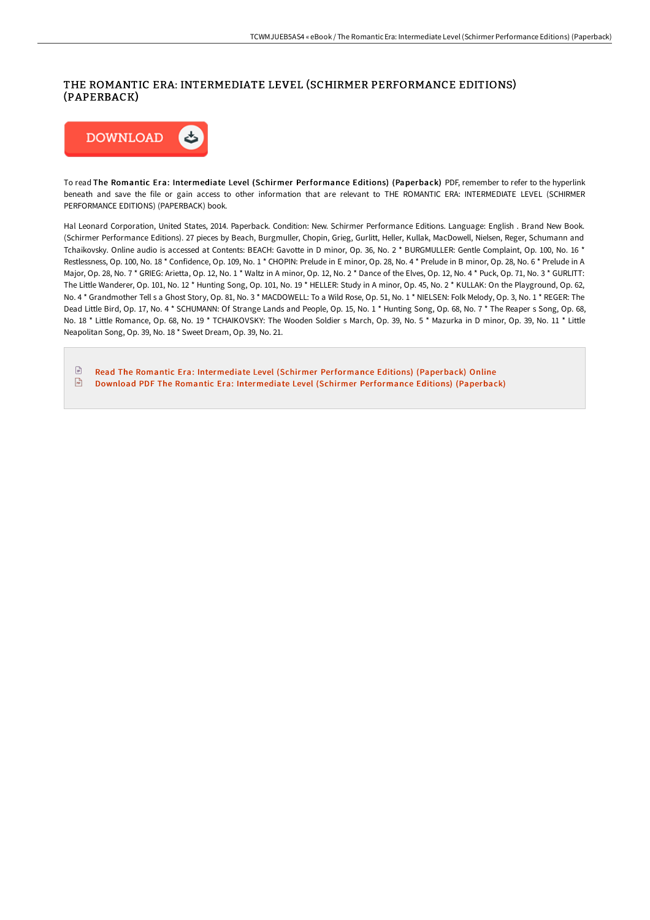## THE ROMANTIC ERA: INTERMEDIATE LEVEL (SCHIRMER PERFORMANCE EDITIONS) (PAPERBACK)



To read The Romantic Era: Intermediate Level (Schirmer Performance Editions) (Paperback) PDF, remember to refer to the hyperlink beneath and save the file or gain access to other information that are relevant to THE ROMANTIC ERA: INTERMEDIATE LEVEL (SCHIRMER PERFORMANCE EDITIONS) (PAPERBACK) book.

Hal Leonard Corporation, United States, 2014. Paperback. Condition: New. Schirmer Performance Editions. Language: English . Brand New Book. (Schirmer Performance Editions). 27 pieces by Beach, Burgmuller, Chopin, Grieg, Gurlitt, Heller, Kullak, MacDowell, Nielsen, Reger, Schumann and Tchaikovsky. Online audio is accessed at Contents: BEACH: Gavotte in D minor, Op. 36, No. 2 \* BURGMULLER: Gentle Complaint, Op. 100, No. 16 \* Restlessness, Op. 100, No. 18 \* Confidence, Op. 109, No. 1 \* CHOPIN: Prelude in E minor, Op. 28, No. 4 \* Prelude in B minor, Op. 28, No. 6 \* Prelude in A Major, Op. 28, No. 7<sup>\*</sup> GRIEG: Arietta, Op. 12, No. 1<sup>\*</sup> Waltz in A minor, Op. 12, No. 2<sup>\*</sup> Dance of the Elves, Op. 12, No. 4<sup>\*</sup> Puck, Op. 71, No. 3<sup>\*</sup> GURLITT: The Little Wanderer, Op. 101, No. 12 \* Hunting Song, Op. 101, No. 19 \* HELLER: Study in A minor, Op. 45, No. 2 \* KULLAK: On the Playground, Op. 62, No. 4 \* Grandmother Tell s a Ghost Story, Op. 81, No. 3 \* MACDOWELL: To a Wild Rose, Op. 51, No. 1 \* NIELSEN: Folk Melody, Op. 3, No. 1 \* REGER: The Dead Little Bird, Op. 17, No. 4 \* SCHUMANN: Of Strange Lands and People, Op. 15, No. 1 \* Hunting Song, Op. 68, No. 7 \* The Reaper s Song, Op. 68, No. 18 \* Little Romance, Op. 68, No. 19 \* TCHAIKOVSKY: The Wooden Soldier s March, Op. 39, No. 5 \* Mazurka in D minor, Op. 39, No. 11 \* Little Neapolitan Song, Op. 39, No. 18 \* Sweet Dream, Op. 39, No. 21.

 $\mathbb{R}$ Read The Romantic Era: Intermediate Level (Schirmer [Performance](http://techno-pub.tech/the-romantic-era-intermediate-level-schirmer-per.html) Editions) (Paperback) Online  $\sqrt{\frac{1}{n}}$ Download PDF The Romantic Era: Intermediate Level (Schirmer [Performance](http://techno-pub.tech/the-romantic-era-intermediate-level-schirmer-per.html) Editions) (Paperback)